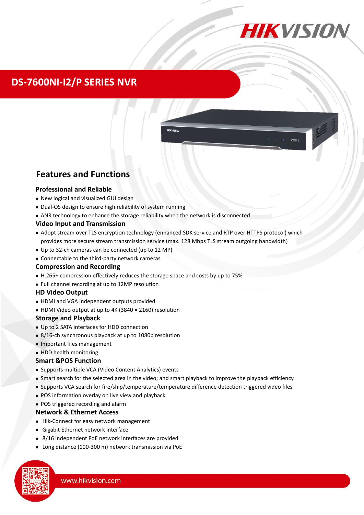

## **DS-7600NI-I2/P SERIES NVR**



## **Features and Functions**

#### **Professional and Reliable**

- New logical and visualized GUI design
- Dual-OS design to ensure high reliability of system running
- ANR technology to enhance the storage reliability when the network is disconnected

#### **Video Input and Transmission**

- Adopt stream over TLS encryption technology (enhanced SDK service and RTP over HTTPS protocol) which provides more secure stream transmission service (max. 128 Mbps TLS stream outgoing bandwidth)
- Up to 32-ch cameras can be connected (up to 12 MP)
- Connectable to the third-party network cameras

#### **Compression and Recording**

- H.265+ compression effectively reduces the storage space and costs by up to 75%
- Full channel recording at up to 12MP resolution

#### **HD Video Output**

- HDMI and VGA independent outputs provided
- HDMI Video output at up to 4K (3840 × 2160) resolution

#### **Storage and Playback**

- Up to 2 SATA interfaces for HDD connection
- 8/16-ch synchronous playback at up to 1080p resolution
- Important files management

#### • HDD health monitoring

#### **Smart &POS Function**

- Supports multiple VCA (Video Content Analytics) events
- Smart search for the selected area in the video; and smart playback to improve the playback efficiency
- Supports VCA search for fire/ship/temperature/temperature difference detection triggered video files
- POS information overlay on live view and playback
- POS triggered recording and alarm

#### **Network & Ethernet Access**

- Hik-Connect for easy network management
- Gigabit Ethernet network interface
- 8/16 independent PoE network interfaces are provided
- Long distance (100-300 m) network transmission via PoE

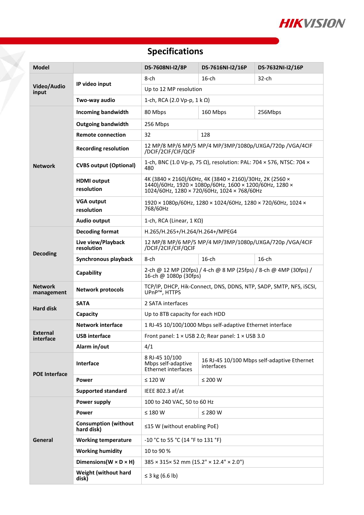

# **Specifications**

F

| <b>Model</b>                 |                                           | DS-7608NI-I2/8P                                                                                                                                                    | DS-7616NI-I2/16P                                          | DS-7632NI-I2/16P |  |
|------------------------------|-------------------------------------------|--------------------------------------------------------------------------------------------------------------------------------------------------------------------|-----------------------------------------------------------|------------------|--|
| Video/Audio<br>input         | IP video input                            | 8-ch                                                                                                                                                               | 16-ch                                                     | 32-ch            |  |
|                              |                                           | Up to 12 MP resolution                                                                                                                                             |                                                           |                  |  |
|                              | Two-way audio                             | 1-ch, RCA (2.0 Vp-p, 1 k Ω)                                                                                                                                        |                                                           |                  |  |
| <b>Network</b>               | <b>Incoming bandwidth</b>                 | 80 Mbps                                                                                                                                                            | 160 Mbps                                                  | 256Mbps          |  |
|                              | <b>Outgoing bandwidth</b>                 | 256 Mbps                                                                                                                                                           |                                                           |                  |  |
|                              | <b>Remote connection</b>                  | 32<br>128                                                                                                                                                          |                                                           |                  |  |
|                              | <b>Recording resolution</b>               | 12 MP/8 MP/6 MP/5 MP/4 MP/3MP/1080p/UXGA/720p /VGA/4CIF<br>/DCIF/2CIF/CIF/QCIF                                                                                     |                                                           |                  |  |
|                              | <b>CVBS output (Optional)</b>             | 1-ch, BNC (1.0 Vp-p, 75 Ω), resolution: PAL: 704 × 576, NTSC: 704 ×<br>480                                                                                         |                                                           |                  |  |
|                              | <b>HDMI</b> output<br>resolution          | 4K (3840 × 2160)/60Hz, 4K (3840 × 2160)/30Hz, 2K (2560 ×<br>1440)/60Hz, 1920 × 1080p/60Hz, 1600 × 1200/60Hz, 1280 ×<br>1024/60Hz, 1280 × 720/60Hz, 1024 × 768/60Hz |                                                           |                  |  |
|                              | <b>VGA output</b><br>resolution           | 1920 × 1080p/60Hz, 1280 × 1024/60Hz, 1280 × 720/60Hz, 1024 ×<br>768/60Hz                                                                                           |                                                           |                  |  |
|                              | Audio output                              | 1-ch, RCA (Linear, $1 K\Omega$ )                                                                                                                                   |                                                           |                  |  |
| <b>Decoding</b>              | <b>Decoding format</b>                    | H.265/H.265+/H.264/H.264+/MPEG4                                                                                                                                    |                                                           |                  |  |
|                              | Live view/Playback<br>resolution          | 12 MP/8 MP/6 MP/5 MP/4 MP/3MP/1080p/UXGA/720p /VGA/4CIF<br>/DCIF/2CIF/CIF/QCIF                                                                                     |                                                           |                  |  |
|                              | Synchronous playback                      | 8-ch                                                                                                                                                               | $16$ -ch                                                  | $16$ -ch         |  |
|                              | Capability                                | 2-ch @ 12 MP (20fps) / 4-ch @ 8 MP (25fps) / 8-ch @ 4MP (30fps) /<br>16-ch @ 1080p (30fps)                                                                         |                                                           |                  |  |
| <b>Network</b><br>management | <b>Network protocols</b>                  | TCP/IP, DHCP, Hik-Connect, DNS, DDNS, NTP, SADP, SMTP, NFS, iSCSI,<br>UPnP <sup>™</sup> , HTTPS                                                                    |                                                           |                  |  |
| <b>Hard disk</b>             | <b>SATA</b>                               | 2 SATA interfaces                                                                                                                                                  |                                                           |                  |  |
|                              | Capacity                                  | Up to 8TB capacity for each HDD                                                                                                                                    |                                                           |                  |  |
| <b>External</b><br>interface | <b>Network interface</b>                  | 1 RJ-45 10/100/1000 Mbps self-adaptive Ethernet interface                                                                                                          |                                                           |                  |  |
|                              | <b>USB</b> interface                      | Front panel: $1 \times$ USB 2.0; Rear panel: $1 \times$ USB 3.0                                                                                                    |                                                           |                  |  |
|                              | Alarm in/out                              | 4/1                                                                                                                                                                |                                                           |                  |  |
| <b>POE Interface</b>         | Interface                                 | 8 RJ-45 10/100<br>Mbps self-adaptive<br><b>Ethernet interfaces</b>                                                                                                 | 16 RJ-45 10/100 Mbps self-adaptive Ethernet<br>interfaces |                  |  |
|                              | Power                                     | $\leq$ 120 W                                                                                                                                                       | $≤ 200 W$                                                 |                  |  |
|                              | <b>Supported standard</b>                 | IEEE 802.3 af/at                                                                                                                                                   |                                                           |                  |  |
| General                      | Power supply                              | 100 to 240 VAC, 50 to 60 Hz                                                                                                                                        |                                                           |                  |  |
|                              | Power                                     | $\leq 180$ W<br>≤ 280 W                                                                                                                                            |                                                           |                  |  |
|                              | <b>Consumption (without</b><br>hard disk) | ≤15 W (without enabling PoE)                                                                                                                                       |                                                           |                  |  |
|                              | <b>Working temperature</b>                | -10 °C to 55 °C (14 °F to 131 °F)                                                                                                                                  |                                                           |                  |  |
|                              | <b>Working humidity</b>                   | 10 to 90 %                                                                                                                                                         |                                                           |                  |  |
|                              | Dimensions ( $W \times D \times H$ )      | 385 × 315× 52 mm (15.2" × 12.4" × 2.0")                                                                                                                            |                                                           |                  |  |
|                              | Weight (without hard<br>disk)             | ≤ 3 kg (6.6 lb)                                                                                                                                                    |                                                           |                  |  |